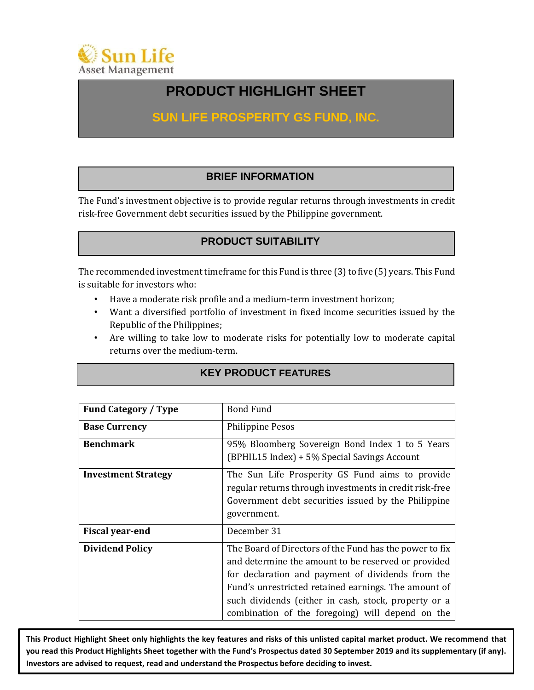

# **PRODUCT HIGHLIGHT SHEET**

# **SUN LIFE PROSPERITY GS FUND, INC.**

### **BRIEF INFORMATION**

The Fund's investment objective is to provide regular returns through investments in credit risk-free Government debt securities issued by the Philippine government.

# **PRODUCT SUITABILITY**

The recommended investment timeframe for this Fund is three (3) to five (5) years. This Fund is suitable for investors who:

- Have a moderate risk profile and a medium-term investment horizon;
- Want a diversified portfolio of investment in fixed income securities issued by the Republic of the Philippines;
- Are willing to take low to moderate risks for potentially low to moderate capital returns over the medium-term.

### **KEY PRODUCT FEATURES**

| <b>Fund Category / Type</b> | <b>Bond Fund</b>                                                                                                                                                                                                                                                                                                                        |
|-----------------------------|-----------------------------------------------------------------------------------------------------------------------------------------------------------------------------------------------------------------------------------------------------------------------------------------------------------------------------------------|
| <b>Base Currency</b>        | <b>Philippine Pesos</b>                                                                                                                                                                                                                                                                                                                 |
| <b>Benchmark</b>            | 95% Bloomberg Sovereign Bond Index 1 to 5 Years<br>(BPHIL15 Index) + 5% Special Savings Account                                                                                                                                                                                                                                         |
| <b>Investment Strategy</b>  | The Sun Life Prosperity GS Fund aims to provide<br>regular returns through investments in credit risk-free<br>Government debt securities issued by the Philippine<br>government.                                                                                                                                                        |
| <b>Fiscal year-end</b>      | December 31                                                                                                                                                                                                                                                                                                                             |
| <b>Dividend Policy</b>      | The Board of Directors of the Fund has the power to fix<br>and determine the amount to be reserved or provided<br>for declaration and payment of dividends from the<br>Fund's unrestricted retained earnings. The amount of<br>such dividends (either in cash, stock, property or a<br>combination of the foregoing) will depend on the |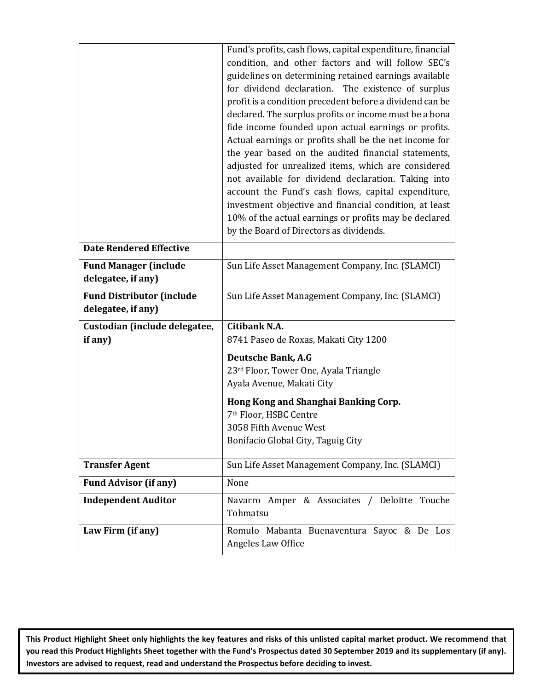|                                                        | Fund's profits, cash flows, capital expenditure, financial<br>condition, and other factors and will follow SEC's<br>guidelines on determining retained earnings available<br>for dividend declaration. The existence of surplus<br>profit is a condition precedent before a dividend can be<br>declared. The surplus profits or income must be a bona<br>fide income founded upon actual earnings or profits.<br>Actual earnings or profits shall be the net income for<br>the year based on the audited financial statements,<br>adjusted for unrealized items, which are considered<br>not available for dividend declaration. Taking into<br>account the Fund's cash flows, capital expenditure,<br>investment objective and financial condition, at least<br>10% of the actual earnings or profits may be declared<br>by the Board of Directors as dividends. |
|--------------------------------------------------------|-------------------------------------------------------------------------------------------------------------------------------------------------------------------------------------------------------------------------------------------------------------------------------------------------------------------------------------------------------------------------------------------------------------------------------------------------------------------------------------------------------------------------------------------------------------------------------------------------------------------------------------------------------------------------------------------------------------------------------------------------------------------------------------------------------------------------------------------------------------------|
| <b>Date Rendered Effective</b>                         |                                                                                                                                                                                                                                                                                                                                                                                                                                                                                                                                                                                                                                                                                                                                                                                                                                                                   |
| <b>Fund Manager (include</b><br>delegatee, if any)     | Sun Life Asset Management Company, Inc. (SLAMCI)                                                                                                                                                                                                                                                                                                                                                                                                                                                                                                                                                                                                                                                                                                                                                                                                                  |
| <b>Fund Distributor (include</b><br>delegatee, if any) | Sun Life Asset Management Company, Inc. (SLAMCI)                                                                                                                                                                                                                                                                                                                                                                                                                                                                                                                                                                                                                                                                                                                                                                                                                  |
| Custodian (include delegatee,                          | Citibank N.A.                                                                                                                                                                                                                                                                                                                                                                                                                                                                                                                                                                                                                                                                                                                                                                                                                                                     |
| if any)                                                | 8741 Paseo de Roxas, Makati City 1200                                                                                                                                                                                                                                                                                                                                                                                                                                                                                                                                                                                                                                                                                                                                                                                                                             |
|                                                        | <b>Deutsche Bank, A.G</b>                                                                                                                                                                                                                                                                                                                                                                                                                                                                                                                                                                                                                                                                                                                                                                                                                                         |
|                                                        | 23rd Floor, Tower One, Ayala Triangle                                                                                                                                                                                                                                                                                                                                                                                                                                                                                                                                                                                                                                                                                                                                                                                                                             |
|                                                        | Ayala Avenue, Makati City                                                                                                                                                                                                                                                                                                                                                                                                                                                                                                                                                                                                                                                                                                                                                                                                                                         |
|                                                        | Hong Kong and Shanghai Banking Corp.                                                                                                                                                                                                                                                                                                                                                                                                                                                                                                                                                                                                                                                                                                                                                                                                                              |
|                                                        | 7 <sup>th</sup> Floor, HSBC Centre                                                                                                                                                                                                                                                                                                                                                                                                                                                                                                                                                                                                                                                                                                                                                                                                                                |
|                                                        | 3058 Fifth Avenue West                                                                                                                                                                                                                                                                                                                                                                                                                                                                                                                                                                                                                                                                                                                                                                                                                                            |
|                                                        | Bonifacio Global City, Taguig City                                                                                                                                                                                                                                                                                                                                                                                                                                                                                                                                                                                                                                                                                                                                                                                                                                |
| <b>Transfer Agent</b>                                  | Sun Life Asset Management Company, Inc. (SLAMCI)                                                                                                                                                                                                                                                                                                                                                                                                                                                                                                                                                                                                                                                                                                                                                                                                                  |
| <b>Fund Advisor (if any)</b>                           | None                                                                                                                                                                                                                                                                                                                                                                                                                                                                                                                                                                                                                                                                                                                                                                                                                                                              |
| <b>Independent Auditor</b>                             | Navarro Amper & Associates / Deloitte Touche<br>Tohmatsu                                                                                                                                                                                                                                                                                                                                                                                                                                                                                                                                                                                                                                                                                                                                                                                                          |
| Law Firm (if any)                                      | Romulo Mabanta Buenaventura Sayoc & De Los<br>Angeles Law Office                                                                                                                                                                                                                                                                                                                                                                                                                                                                                                                                                                                                                                                                                                                                                                                                  |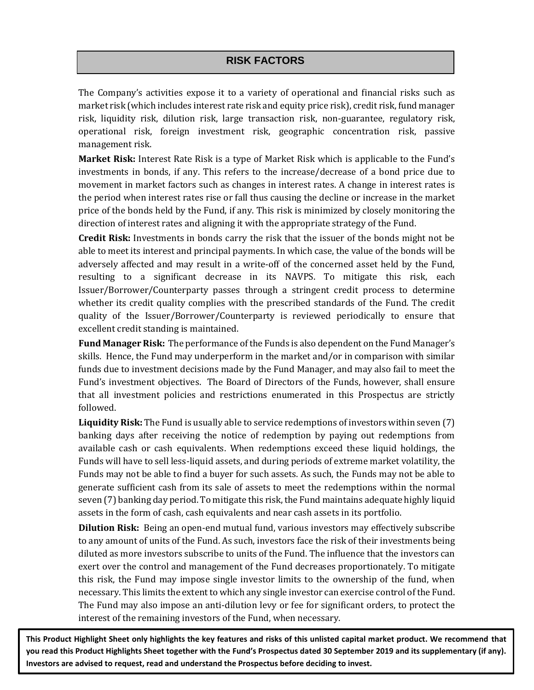# **RISK FACTORS**

The Company's activities expose it to a variety of operational and financial risks such as market risk (which includes interest rate risk and equity price risk), credit risk, fund manager risk, liquidity risk, dilution risk, large transaction risk, non-guarantee, regulatory risk, operational risk, foreign investment risk, geographic concentration risk, passive management risk.

**Market Risk:** Interest Rate Risk is a type of Market Risk which is applicable to the Fund's investments in bonds, if any. This refers to the increase/decrease of a bond price due to movement in market factors such as changes in interest rates. A change in interest rates is the period when interest rates rise or fall thus causing the decline or increase in the market price of the bonds held by the Fund, if any. This risk is minimized by closely monitoring the direction of interest rates and aligning it with the appropriate strategy of the Fund.

**Credit Risk:** Investments in bonds carry the risk that the issuer of the bonds might not be able to meet its interest and principal payments. In which case, the value of the bonds will be adversely affected and may result in a write-off of the concerned asset held by the Fund, resulting to a significant decrease in its NAVPS. To mitigate this risk, each Issuer/Borrower/Counterparty passes through a stringent credit process to determine whether its credit quality complies with the prescribed standards of the Fund. The credit quality of the Issuer/Borrower/Counterparty is reviewed periodically to ensure that excellent credit standing is maintained.

**Fund Manager Risk:** The performance of the Funds is also dependent on the Fund Manager's skills. Hence, the Fund may underperform in the market and/or in comparison with similar funds due to investment decisions made by the Fund Manager, and may also fail to meet the Fund's investment objectives. The Board of Directors of the Funds, however, shall ensure that all investment policies and restrictions enumerated in this Prospectus are strictly followed.

**Liquidity Risk:** The Fund is usually able to service redemptions of investors within seven (7) banking days after receiving the notice of redemption by paying out redemptions from available cash or cash equivalents. When redemptions exceed these liquid holdings, the Funds will have to sell less-liquid assets, and during periods of extreme market volatility, the Funds may not be able to find a buyer for such assets. As such, the Funds may not be able to generate sufficient cash from its sale of assets to meet the redemptions within the normal seven (7) banking day period. To mitigate this risk, the Fund maintains adequate highly liquid assets in the form of cash, cash equivalents and near cash assets in its portfolio.

**Dilution Risk:** Being an open-end mutual fund, various investors may effectively subscribe to any amount of units of the Fund. As such, investors face the risk of their investments being diluted as more investors subscribe to units of the Fund. The influence that the investors can exert over the control and management of the Fund decreases proportionately. To mitigate this risk, the Fund may impose single investor limits to the ownership of the fund, when necessary. This limits the extent to which any single investor can exercise control of the Fund. The Fund may also impose an anti-dilution levy or fee for significant orders, to protect the interest of the remaining investors of the Fund, when necessary.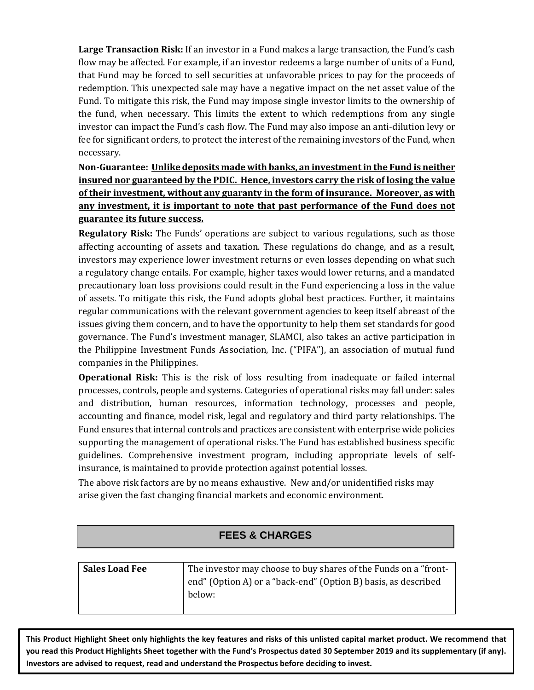**Large Transaction Risk:** If an investor in a Fund makes a large transaction, the Fund's cash flow may be affected. For example, if an investor redeems a large number of units of a Fund, that Fund may be forced to sell securities at unfavorable prices to pay for the proceeds of redemption. This unexpected sale may have a negative impact on the net asset value of the Fund. To mitigate this risk, the Fund may impose single investor limits to the ownership of the fund, when necessary. This limits the extent to which redemptions from any single investor can impact the Fund's cash flow. The Fund may also impose an anti-dilution levy or fee for significant orders, to protect the interest of the remaining investors of the Fund, when necessary.

**Non-Guarantee: Unlike deposits made with banks, an investment in the Fund is neither insured nor guaranteed by the PDIC. Hence, investors carry the risk of losing the value of their investment, without any guaranty in the form of insurance. Moreover, as with any investment, it is important to note that past performance of the Fund does not guarantee its future success.**

**Regulatory Risk:** The Funds' operations are subject to various regulations, such as those affecting accounting of assets and taxation. These regulations do change, and as a result, investors may experience lower investment returns or even losses depending on what such a regulatory change entails. For example, higher taxes would lower returns, and a mandated precautionary loan loss provisions could result in the Fund experiencing a loss in the value of assets. To mitigate this risk, the Fund adopts global best practices. Further, it maintains regular communications with the relevant government agencies to keep itself abreast of the issues giving them concern, and to have the opportunity to help them set standards for good governance. The Fund's investment manager, SLAMCI, also takes an active participation in the Philippine Investment Funds Association, Inc. ("PIFA"), an association of mutual fund companies in the Philippines.

**Operational Risk:** This is the risk of loss resulting from inadequate or failed internal processes, controls, people and systems. Categories of operational risks may fall under: sales and distribution, human resources, information technology, processes and people, accounting and finance, model risk, legal and regulatory and third party relationships. The Fund ensures that internal controls and practices are consistent with enterprise wide policies supporting the management of operational risks. The Fund has established business specific guidelines. Comprehensive investment program, including appropriate levels of selfinsurance, is maintained to provide protection against potential losses.

The above risk factors are by no means exhaustive. New and/or unidentified risks may arise given the fast changing financial markets and economic environment.

### **FEES & CHARGES**

| <b>Sales Load Fee</b> | The investor may choose to buy shares of the Funds on a "front- |
|-----------------------|-----------------------------------------------------------------|
|                       | end" (Option A) or a "back-end" (Option B) basis, as described  |
|                       | below:                                                          |
|                       |                                                                 |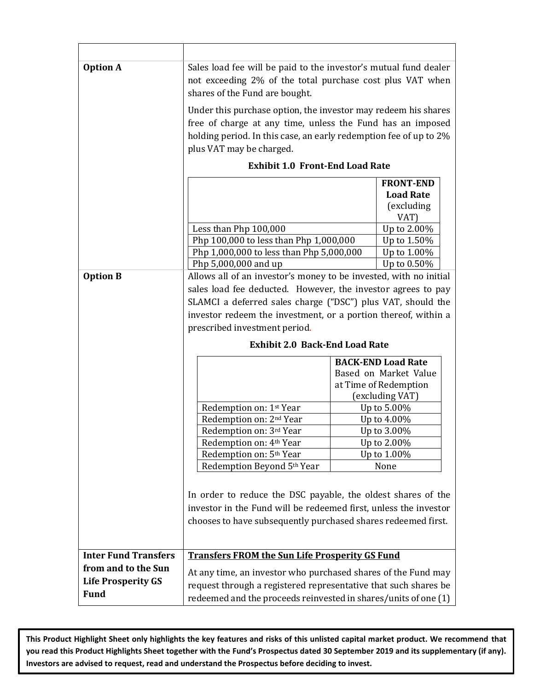| <b>Option A</b>             | Sales load fee will be paid to the investor's mutual fund dealer                                                                 |                                          |  |  |  |  |
|-----------------------------|----------------------------------------------------------------------------------------------------------------------------------|------------------------------------------|--|--|--|--|
|                             | not exceeding 2% of the total purchase cost plus VAT when                                                                        |                                          |  |  |  |  |
|                             | shares of the Fund are bought.                                                                                                   |                                          |  |  |  |  |
|                             | Under this purchase option, the investor may redeem his shares                                                                   |                                          |  |  |  |  |
|                             | free of charge at any time, unless the Fund has an imposed                                                                       |                                          |  |  |  |  |
|                             | holding period. In this case, an early redemption fee of up to 2%                                                                |                                          |  |  |  |  |
|                             | plus VAT may be charged.                                                                                                         |                                          |  |  |  |  |
|                             | <b>Exhibit 1.0 Front-End Load Rate</b>                                                                                           |                                          |  |  |  |  |
|                             |                                                                                                                                  | <b>FRONT-END</b>                         |  |  |  |  |
|                             |                                                                                                                                  | <b>Load Rate</b>                         |  |  |  |  |
|                             |                                                                                                                                  | (excluding                               |  |  |  |  |
|                             |                                                                                                                                  | VAT)                                     |  |  |  |  |
|                             | Less than Php 100,000                                                                                                            | Up to 2.00%                              |  |  |  |  |
|                             | Php 100,000 to less than Php 1,000,000<br>Php 1,000,000 to less than Php 5,000,000                                               | Up to 1.50%<br>Up to 1.00%               |  |  |  |  |
|                             | Php 5,000,000 and up                                                                                                             | Up to 0.50%                              |  |  |  |  |
| <b>Option B</b>             | Allows all of an investor's money to be invested, with no initial                                                                |                                          |  |  |  |  |
|                             | sales load fee deducted. However, the investor agrees to pay                                                                     |                                          |  |  |  |  |
|                             | SLAMCI a deferred sales charge ("DSC") plus VAT, should the                                                                      |                                          |  |  |  |  |
|                             |                                                                                                                                  |                                          |  |  |  |  |
|                             | investor redeem the investment, or a portion thereof, within a<br>prescribed investment period.                                  |                                          |  |  |  |  |
|                             | <b>Exhibit 2.0 Back-End Load Rate</b>                                                                                            |                                          |  |  |  |  |
|                             |                                                                                                                                  |                                          |  |  |  |  |
|                             | <b>BACK-END Load Rate</b>                                                                                                        |                                          |  |  |  |  |
|                             |                                                                                                                                  | Based on Market Value                    |  |  |  |  |
|                             |                                                                                                                                  | at Time of Redemption<br>(excluding VAT) |  |  |  |  |
|                             | Redemption on: 1 <sup>st</sup> Year                                                                                              | Up to 5.00%                              |  |  |  |  |
|                             | Redemption on: 2 <sup>nd</sup> Year                                                                                              | Up to 4.00%                              |  |  |  |  |
|                             | Redemption on: 3rd Year                                                                                                          | Up to 3.00%                              |  |  |  |  |
|                             | Redemption on: 4 <sup>th</sup> Year                                                                                              | Up to 2.00%                              |  |  |  |  |
|                             | Redemption on: 5 <sup>th</sup> Year                                                                                              | Up to 1.00%                              |  |  |  |  |
|                             | Redemption Beyond 5th Year<br>None                                                                                               |                                          |  |  |  |  |
|                             |                                                                                                                                  |                                          |  |  |  |  |
|                             | In order to reduce the DSC payable, the oldest shares of the                                                                     |                                          |  |  |  |  |
|                             | investor in the Fund will be redeemed first, unless the investor                                                                 |                                          |  |  |  |  |
|                             | chooses to have subsequently purchased shares redeemed first.                                                                    |                                          |  |  |  |  |
|                             |                                                                                                                                  |                                          |  |  |  |  |
| <b>Inter Fund Transfers</b> | <b>Transfers FROM the Sun Life Prosperity GS Fund</b>                                                                            |                                          |  |  |  |  |
| from and to the Sun         |                                                                                                                                  |                                          |  |  |  |  |
| <b>Life Prosperity GS</b>   | At any time, an investor who purchased shares of the Fund may<br>request through a registered representative that such shares be |                                          |  |  |  |  |
| <b>Fund</b>                 |                                                                                                                                  |                                          |  |  |  |  |
|                             | redeemed and the proceeds reinvested in shares/units of one (1)                                                                  |                                          |  |  |  |  |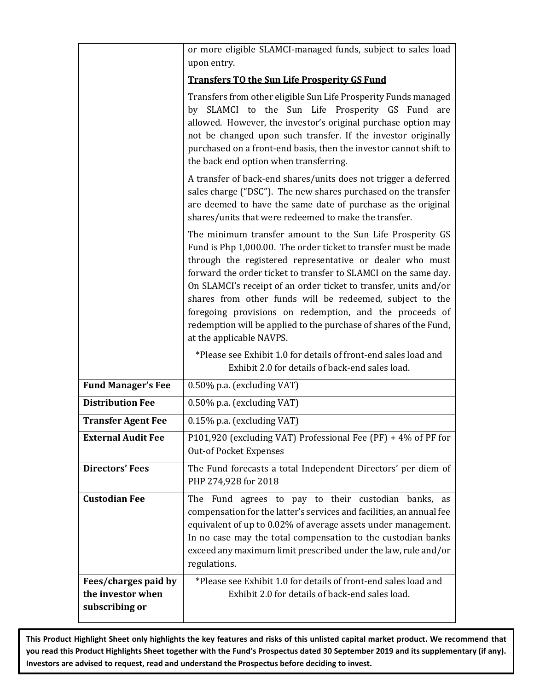|                                                             | or more eligible SLAMCI-managed funds, subject to sales load                                                                                                                                                                                                                                                                                                                                                                                                                                                                                            |  |  |  |  |
|-------------------------------------------------------------|---------------------------------------------------------------------------------------------------------------------------------------------------------------------------------------------------------------------------------------------------------------------------------------------------------------------------------------------------------------------------------------------------------------------------------------------------------------------------------------------------------------------------------------------------------|--|--|--|--|
|                                                             | upon entry.                                                                                                                                                                                                                                                                                                                                                                                                                                                                                                                                             |  |  |  |  |
|                                                             | <b>Transfers TO the Sun Life Prosperity GS Fund</b>                                                                                                                                                                                                                                                                                                                                                                                                                                                                                                     |  |  |  |  |
|                                                             | Transfers from other eligible Sun Life Prosperity Funds managed<br>by SLAMCI to the Sun Life Prosperity GS Fund<br>are<br>allowed. However, the investor's original purchase option may<br>not be changed upon such transfer. If the investor originally<br>purchased on a front-end basis, then the investor cannot shift to<br>the back end option when transferring.                                                                                                                                                                                 |  |  |  |  |
|                                                             | A transfer of back-end shares/units does not trigger a deferred<br>sales charge ("DSC"). The new shares purchased on the transfer<br>are deemed to have the same date of purchase as the original<br>shares/units that were redeemed to make the transfer.                                                                                                                                                                                                                                                                                              |  |  |  |  |
|                                                             | The minimum transfer amount to the Sun Life Prosperity GS<br>Fund is Php 1,000.00. The order ticket to transfer must be made<br>through the registered representative or dealer who must<br>forward the order ticket to transfer to SLAMCI on the same day.<br>On SLAMCI's receipt of an order ticket to transfer, units and/or<br>shares from other funds will be redeemed, subject to the<br>foregoing provisions on redemption, and the proceeds of<br>redemption will be applied to the purchase of shares of the Fund,<br>at the applicable NAVPS. |  |  |  |  |
|                                                             | *Please see Exhibit 1.0 for details of front-end sales load and<br>Exhibit 2.0 for details of back-end sales load.                                                                                                                                                                                                                                                                                                                                                                                                                                      |  |  |  |  |
| <b>Fund Manager's Fee</b>                                   | 0.50% p.a. (excluding VAT)                                                                                                                                                                                                                                                                                                                                                                                                                                                                                                                              |  |  |  |  |
| <b>Distribution Fee</b>                                     | 0.50% p.a. (excluding VAT)                                                                                                                                                                                                                                                                                                                                                                                                                                                                                                                              |  |  |  |  |
| <b>Transfer Agent Fee</b>                                   | 0.15% p.a. (excluding VAT)                                                                                                                                                                                                                                                                                                                                                                                                                                                                                                                              |  |  |  |  |
| <b>External Audit Fee</b>                                   | P101,920 (excluding VAT) Professional Fee (PF) + 4% of PF for<br><b>Out-of Pocket Expenses</b>                                                                                                                                                                                                                                                                                                                                                                                                                                                          |  |  |  |  |
| <b>Directors' Fees</b>                                      | The Fund forecasts a total Independent Directors' per diem of<br>PHP 274,928 for 2018                                                                                                                                                                                                                                                                                                                                                                                                                                                                   |  |  |  |  |
| <b>Custodian Fee</b>                                        | The Fund agrees to pay to their custodian banks, as<br>compensation for the latter's services and facilities, an annual fee<br>equivalent of up to 0.02% of average assets under management.<br>In no case may the total compensation to the custodian banks<br>exceed any maximum limit prescribed under the law, rule and/or<br>regulations.                                                                                                                                                                                                          |  |  |  |  |
| Fees/charges paid by<br>the investor when<br>subscribing or | *Please see Exhibit 1.0 for details of front-end sales load and<br>Exhibit 2.0 for details of back-end sales load.                                                                                                                                                                                                                                                                                                                                                                                                                                      |  |  |  |  |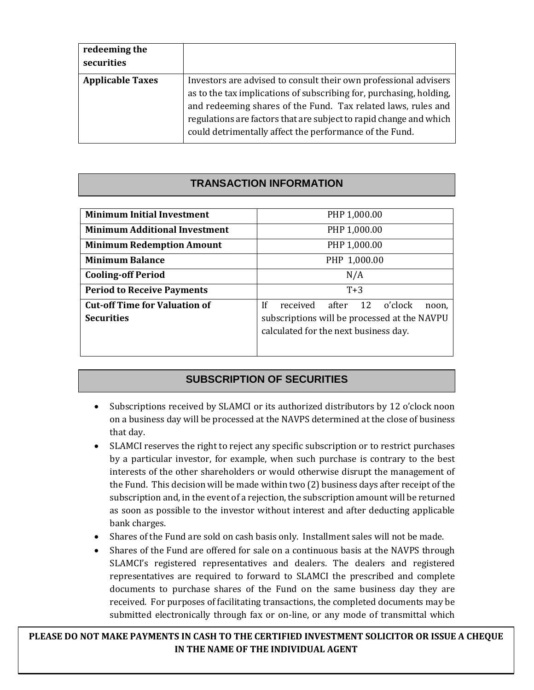| redeeming the<br>securities |                                                                                                                                                                                                                                                                                                                                           |
|-----------------------------|-------------------------------------------------------------------------------------------------------------------------------------------------------------------------------------------------------------------------------------------------------------------------------------------------------------------------------------------|
| <b>Applicable Taxes</b>     | Investors are advised to consult their own professional advisers<br>as to the tax implications of subscribing for, purchasing, holding,<br>and redeeming shares of the Fund. Tax related laws, rules and<br>regulations are factors that are subject to rapid change and which<br>could detrimentally affect the performance of the Fund. |

# **TRANSACTION INFORMATION**

| PHP 1,000.00                                                                                                                         |  |  |  |  |
|--------------------------------------------------------------------------------------------------------------------------------------|--|--|--|--|
| PHP 1,000.00                                                                                                                         |  |  |  |  |
| PHP 1,000.00                                                                                                                         |  |  |  |  |
| PHP 1,000.00                                                                                                                         |  |  |  |  |
| N/A                                                                                                                                  |  |  |  |  |
| $T+3$                                                                                                                                |  |  |  |  |
| 1f<br>received after 12<br>o'clock<br>noon.<br>subscriptions will be processed at the NAVPU<br>calculated for the next business day. |  |  |  |  |
|                                                                                                                                      |  |  |  |  |

### **SUBSCRIPTION OF SECURITIES**

- Subscriptions received by SLAMCI or its authorized distributors by 12 o'clock noon on a business day will be processed at the NAVPS determined at the close of business that day.
- SLAMCI reserves the right to reject any specific subscription or to restrict purchases by a particular investor, for example, when such purchase is contrary to the best interests of the other shareholders or would otherwise disrupt the management of the Fund. This decision will be made within two (2) business days after receipt of the subscription and, in the event of a rejection, the subscription amount will be returned as soon as possible to the investor without interest and after deducting applicable bank charges.
- Shares of the Fund are sold on cash basis only. Installment sales will not be made.
- Shares of the Fund are offered for sale on a continuous basis at the NAVPS through SLAMCI's registered representatives and dealers. The dealers and registered representatives are required to forward to SLAMCI the prescribed and complete documents to purchase shares of the Fund on the same business day they are received. For purposes of facilitating transactions, the completed documents may be submitted electronically through fax or on-line, or any mode of transmittal which

PLEASE DO NOT MAKE PAYMENTS IN CASH TO THE CERTIFIED INVESTMENT SOLICITOR OR ISSUE A CHEQUE **IN THE NAME OF THE INDIVIDUAL AGENT**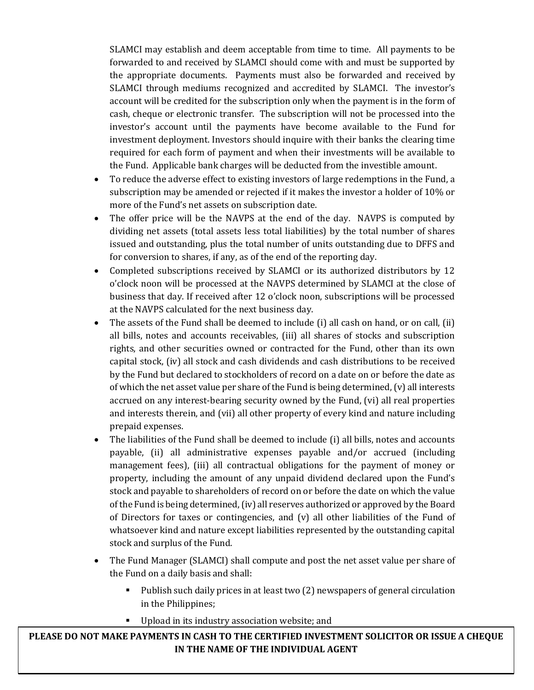SLAMCI may establish and deem acceptable from time to time. All payments to be forwarded to and received by SLAMCI should come with and must be supported by the appropriate documents. Payments must also be forwarded and received by SLAMCI through mediums recognized and accredited by SLAMCI. The investor's account will be credited for the subscription only when the payment is in the form of cash, cheque or electronic transfer. The subscription will not be processed into the investor's account until the payments have become available to the Fund for investment deployment. Investors should inquire with their banks the clearing time required for each form of payment and when their investments will be available to the Fund. Applicable bank charges will be deducted from the investible amount.

- To reduce the adverse effect to existing investors of large redemptions in the Fund, a subscription may be amended or rejected if it makes the investor a holder of 10% or more of the Fund's net assets on subscription date.
- The offer price will be the NAVPS at the end of the day. NAVPS is computed by dividing net assets (total assets less total liabilities) by the total number of shares issued and outstanding, plus the total number of units outstanding due to DFFS and for conversion to shares, if any, as of the end of the reporting day.
- Completed subscriptions received by SLAMCI or its authorized distributors by 12 o'clock noon will be processed at the NAVPS determined by SLAMCI at the close of business that day. If received after 12 o'clock noon, subscriptions will be processed at the NAVPS calculated for the next business day.
- The assets of the Fund shall be deemed to include (i) all cash on hand, or on call, (ii) all bills, notes and accounts receivables, (iii) all shares of stocks and subscription rights, and other securities owned or contracted for the Fund, other than its own capital stock, (iv) all stock and cash dividends and cash distributions to be received by the Fund but declared to stockholders of record on a date on or before the date as of which the net asset value per share of the Fund is being determined, (v) all interests accrued on any interest-bearing security owned by the Fund, (vi) all real properties and interests therein, and (vii) all other property of every kind and nature including prepaid expenses.
- The liabilities of the Fund shall be deemed to include (i) all bills, notes and accounts payable, (ii) all administrative expenses payable and/or accrued (including management fees), (iii) all contractual obligations for the payment of money or property, including the amount of any unpaid dividend declared upon the Fund's stock and payable to shareholders of record on or before the date on which the value of the Fund is being determined, (iv) all reserves authorized or approved by the Board of Directors for taxes or contingencies, and (v) all other liabilities of the Fund of whatsoever kind and nature except liabilities represented by the outstanding capital stock and surplus of the Fund.
- The Fund Manager (SLAMCI) shall compute and post the net asset value per share of the Fund on a daily basis and shall:
	- Publish such daily prices in at least two (2) newspapers of general circulation in the Philippines;
	- **Upload in its industry association website; and**

PLEASE DO NOT MAKE PAYMENTS IN CASH TO THE CERTIFIED INVESTMENT SOLICITOR OR ISSUE A CHEQUE **IN THE NAME OF THE INDIVIDUAL AGENT**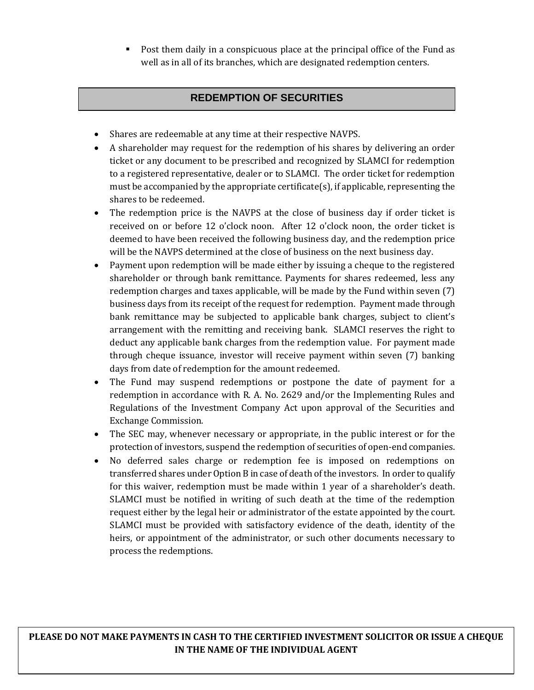Post them daily in a conspicuous place at the principal office of the Fund as well as in all of its branches, which are designated redemption centers.

### **REDEMPTION OF SECURITIES**

- Shares are redeemable at any time at their respective NAVPS.
- A shareholder may request for the redemption of his shares by delivering an order ticket or any document to be prescribed and recognized by SLAMCI for redemption to a registered representative, dealer or to SLAMCI. The order ticket for redemption must be accompanied by the appropriate certificate(s), if applicable, representing the shares to be redeemed.
- The redemption price is the NAVPS at the close of business day if order ticket is received on or before 12 o'clock noon. After 12 o'clock noon, the order ticket is deemed to have been received the following business day, and the redemption price will be the NAVPS determined at the close of business on the next business day.
- Payment upon redemption will be made either by issuing a cheque to the registered shareholder or through bank remittance. Payments for shares redeemed, less any redemption charges and taxes applicable, will be made by the Fund within seven (7) business days from its receipt of the request for redemption. Payment made through bank remittance may be subjected to applicable bank charges, subject to client's arrangement with the remitting and receiving bank. SLAMCI reserves the right to deduct any applicable bank charges from the redemption value. For payment made through cheque issuance, investor will receive payment within seven (7) banking days from date of redemption for the amount redeemed.
- The Fund may suspend redemptions or postpone the date of payment for a redemption in accordance with R. A. No. 2629 and/or the Implementing Rules and Regulations of the Investment Company Act upon approval of the Securities and Exchange Commission.
- The SEC may, whenever necessary or appropriate, in the public interest or for the protection of investors, suspend the redemption of securities of open-end companies.
- No deferred sales charge or redemption fee is imposed on redemptions on transferred shares under Option B in case of death of the investors. In order to qualify for this waiver, redemption must be made within 1 year of a shareholder's death. SLAMCI must be notified in writing of such death at the time of the redemption request either by the legal heir or administrator of the estate appointed by the court. SLAMCI must be provided with satisfactory evidence of the death, identity of the heirs, or appointment of the administrator, or such other documents necessary to process the redemptions.

PLEASE DO NOT MAKE PAYMENTS IN CASH TO THE CERTIFIED INVESTMENT SOLICITOR OR ISSUE A CHEQUE **IN THE NAME OF THE INDIVIDUAL AGENT**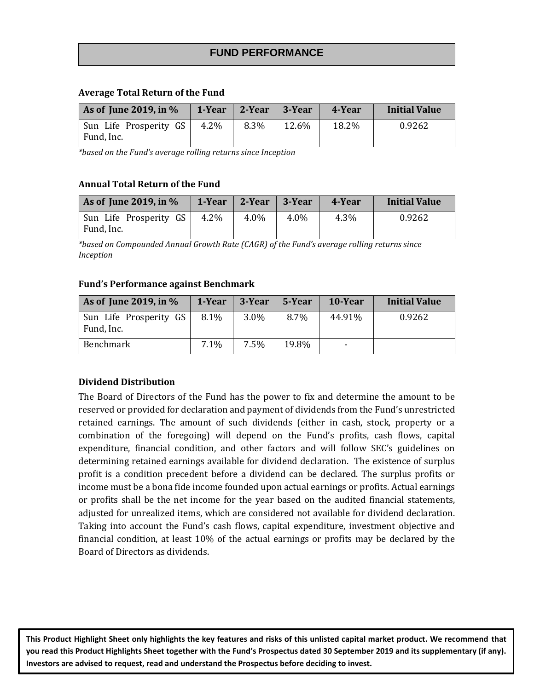#### **FUND PERFORMANCE**

#### **Average Total Return of the Fund**

| As of June 2019, in %                |      | 1-Year 2-Year 3-Year |       | 4-Year | <b>Initial Value</b> |
|--------------------------------------|------|----------------------|-------|--------|----------------------|
| Sun Life Prosperity GS<br>Fund, Inc. | 4.2% | 8.3%                 | 12.6% | 18.2%  | 0.9262               |

*\*based on the Fund's average rolling returns since Inception*

#### **Annual Total Return of the Fund**

| As of June 2019, in $%$              |      | $1$ -Year   2-Year   3-Year |      | 4-Year | <b>Initial Value</b> |
|--------------------------------------|------|-----------------------------|------|--------|----------------------|
| Sun Life Prosperity GS<br>Fund, Inc. | 4.2% | $4.0\%$                     | 4.0% | 4.3%   | 0.9262               |

*\*based on Compounded Annual Growth Rate (CAGR) of the Fund's average rolling returns since Inception*

#### **Fund's Performance against Benchmark**

| As of June 2019, in $%$              | 1-Year | 3-Year | 5-Year | 10-Year                  | <b>Initial Value</b> |
|--------------------------------------|--------|--------|--------|--------------------------|----------------------|
| Sun Life Prosperity GS<br>Fund, Inc. | 8.1%   | 3.0%   | 8.7%   | 44.91%                   | 0.9262               |
| Benchmark                            | 7.1%   | 7.5%   | 19.8%  | $\overline{\phantom{0}}$ |                      |

#### **Dividend Distribution**

The Board of Directors of the Fund has the power to fix and determine the amount to be reserved or provided for declaration and payment of dividends from the Fund's unrestricted retained earnings. The amount of such dividends (either in cash, stock, property or a combination of the foregoing) will depend on the Fund's profits, cash flows, capital expenditure, financial condition, and other factors and will follow SEC's guidelines on determining retained earnings available for dividend declaration. The existence of surplus profit is a condition precedent before a dividend can be declared. The surplus profits or income must be a bona fide income founded upon actual earnings or profits. Actual earnings or profits shall be the net income for the year based on the audited financial statements, adjusted for unrealized items, which are considered not available for dividend declaration. Taking into account the Fund's cash flows, capital expenditure, investment objective and financial condition, at least 10% of the actual earnings or profits may be declared by the Board of Directors as dividends.